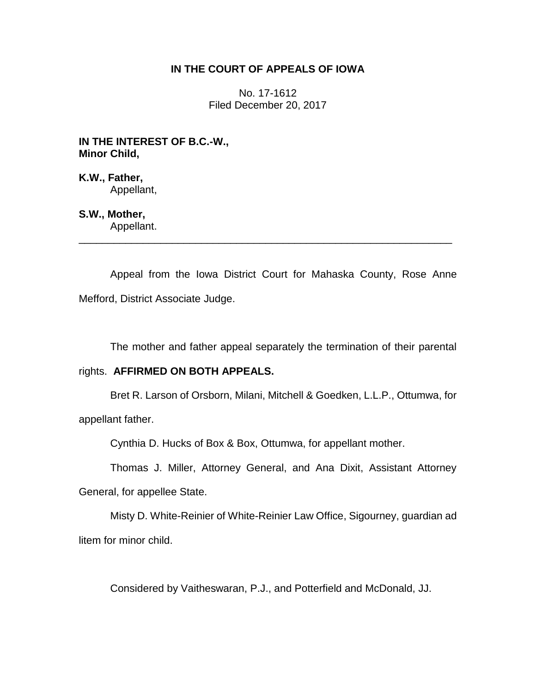# **IN THE COURT OF APPEALS OF IOWA**

No. 17-1612 Filed December 20, 2017

**IN THE INTEREST OF B.C.-W., Minor Child,**

**K.W., Father,** Appellant,

# **S.W., Mother,**

Appellant. \_\_\_\_\_\_\_\_\_\_\_\_\_\_\_\_\_\_\_\_\_\_\_\_\_\_\_\_\_\_\_\_\_\_\_\_\_\_\_\_\_\_\_\_\_\_\_\_\_\_\_\_\_\_\_\_\_\_\_\_\_\_\_\_

Appeal from the Iowa District Court for Mahaska County, Rose Anne Mefford, District Associate Judge.

The mother and father appeal separately the termination of their parental

# rights. **AFFIRMED ON BOTH APPEALS.**

Bret R. Larson of Orsborn, Milani, Mitchell & Goedken, L.L.P., Ottumwa, for appellant father.

Cynthia D. Hucks of Box & Box, Ottumwa, for appellant mother.

Thomas J. Miller, Attorney General, and Ana Dixit, Assistant Attorney

General, for appellee State.

Misty D. White-Reinier of White-Reinier Law Office, Sigourney, guardian ad litem for minor child.

Considered by Vaitheswaran, P.J., and Potterfield and McDonald, JJ.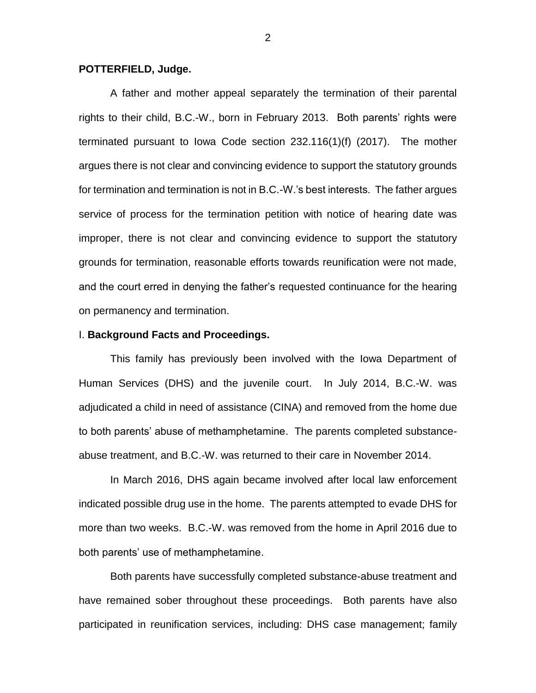### **POTTERFIELD, Judge.**

A father and mother appeal separately the termination of their parental rights to their child, B.C.-W., born in February 2013. Both parents' rights were terminated pursuant to Iowa Code section 232.116(1)(f) (2017). The mother argues there is not clear and convincing evidence to support the statutory grounds for termination and termination is not in B.C.-W.'s best interests. The father argues service of process for the termination petition with notice of hearing date was improper, there is not clear and convincing evidence to support the statutory grounds for termination, reasonable efforts towards reunification were not made, and the court erred in denying the father's requested continuance for the hearing on permanency and termination.

## I. **Background Facts and Proceedings.**

This family has previously been involved with the Iowa Department of Human Services (DHS) and the juvenile court. In July 2014, B.C.-W. was adjudicated a child in need of assistance (CINA) and removed from the home due to both parents' abuse of methamphetamine. The parents completed substanceabuse treatment, and B.C.-W. was returned to their care in November 2014.

In March 2016, DHS again became involved after local law enforcement indicated possible drug use in the home. The parents attempted to evade DHS for more than two weeks. B.C.-W. was removed from the home in April 2016 due to both parents' use of methamphetamine.

Both parents have successfully completed substance-abuse treatment and have remained sober throughout these proceedings. Both parents have also participated in reunification services, including: DHS case management; family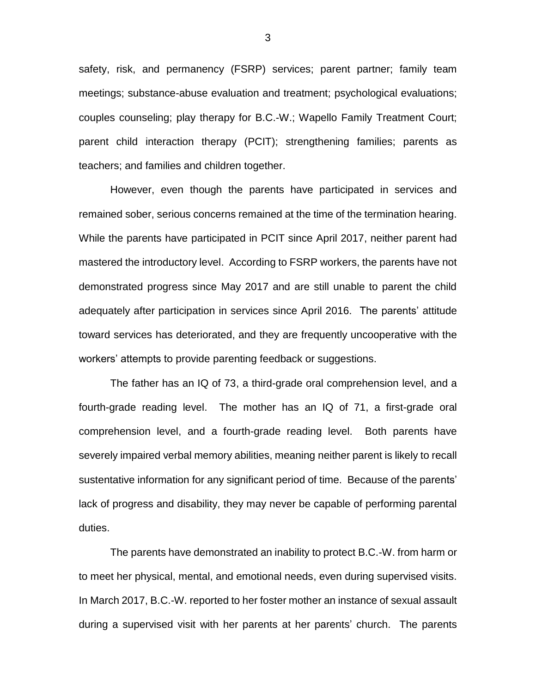safety, risk, and permanency (FSRP) services; parent partner; family team meetings; substance-abuse evaluation and treatment; psychological evaluations; couples counseling; play therapy for B.C.-W.; Wapello Family Treatment Court; parent child interaction therapy (PCIT); strengthening families; parents as teachers; and families and children together.

However, even though the parents have participated in services and remained sober, serious concerns remained at the time of the termination hearing. While the parents have participated in PCIT since April 2017, neither parent had mastered the introductory level. According to FSRP workers, the parents have not demonstrated progress since May 2017 and are still unable to parent the child adequately after participation in services since April 2016. The parents' attitude toward services has deteriorated, and they are frequently uncooperative with the workers' attempts to provide parenting feedback or suggestions.

The father has an IQ of 73, a third-grade oral comprehension level, and a fourth-grade reading level. The mother has an IQ of 71, a first-grade oral comprehension level, and a fourth-grade reading level. Both parents have severely impaired verbal memory abilities, meaning neither parent is likely to recall sustentative information for any significant period of time. Because of the parents' lack of progress and disability, they may never be capable of performing parental duties.

The parents have demonstrated an inability to protect B.C.-W. from harm or to meet her physical, mental, and emotional needs, even during supervised visits. In March 2017, B.C.-W. reported to her foster mother an instance of sexual assault during a supervised visit with her parents at her parents' church. The parents

3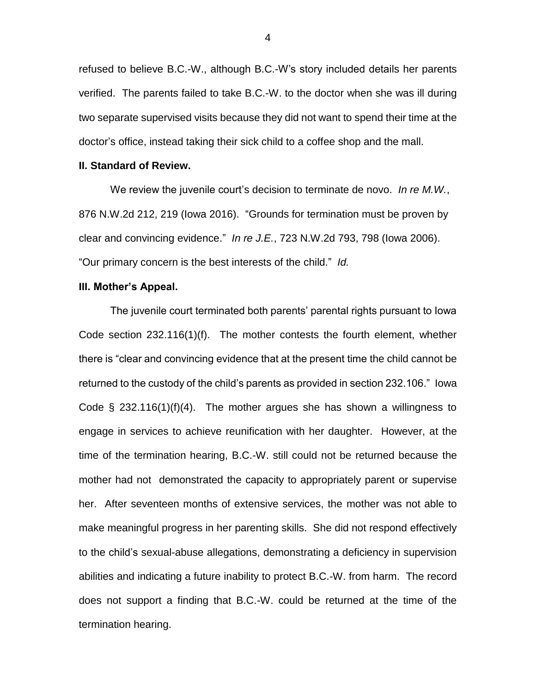refused to believe B.C.-W., although B.C.-W's story included details her parents verified. The parents failed to take B.C.-W. to the doctor when she was ill during two separate supervised visits because they did not want to spend their time at the doctor's office, instead taking their sick child to a coffee shop and the mall.

#### **II. Standard of Review.**

We review the juvenile court's decision to terminate de novo. *In re M.W.*, 876 N.W.2d 212, 219 (Iowa 2016). "Grounds for termination must be proven by clear and convincing evidence." *In re J.E.*, 723 N.W.2d 793, 798 (Iowa 2006). "Our primary concern is the best interests of the child." *Id.*

#### **III. Mother's Appeal.**

The juvenile court terminated both parents' parental rights pursuant to Iowa Code section 232.116(1)(f). The mother contests the fourth element, whether there is "clear and convincing evidence that at the present time the child cannot be returned to the custody of the child's parents as provided in section 232.106." Iowa Code  $\S$  232.116(1)(f)(4). The mother argues she has shown a willingness to engage in services to achieve reunification with her daughter. However, at the time of the termination hearing, B.C.-W. still could not be returned because the mother had not demonstrated the capacity to appropriately parent or supervise her. After seventeen months of extensive services, the mother was not able to make meaningful progress in her parenting skills. She did not respond effectively to the child's sexual-abuse allegations, demonstrating a deficiency in supervision abilities and indicating a future inability to protect B.C.-W. from harm. The record does not support a finding that B.C.-W. could be returned at the time of the termination hearing.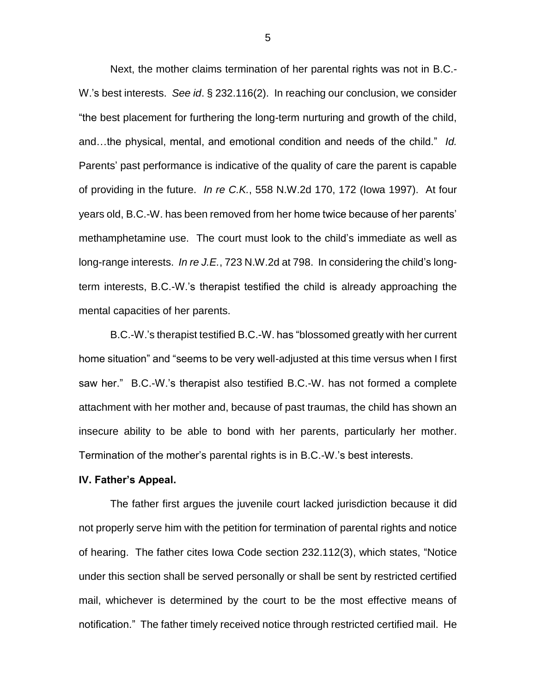Next, the mother claims termination of her parental rights was not in B.C.- W.'s best interests. *See id*. § 232.116(2). In reaching our conclusion, we consider "the best placement for furthering the long-term nurturing and growth of the child, and…the physical, mental, and emotional condition and needs of the child." *Id.* Parents' past performance is indicative of the quality of care the parent is capable of providing in the future. *In re C.K.*, 558 N.W.2d 170, 172 (Iowa 1997). At four years old, B.C.-W. has been removed from her home twice because of her parents' methamphetamine use. The court must look to the child's immediate as well as long-range interests. *In re J.E.*, 723 N.W.2d at 798. In considering the child's longterm interests, B.C.-W.'s therapist testified the child is already approaching the mental capacities of her parents.

B.C.-W.'s therapist testified B.C.-W. has "blossomed greatly with her current home situation" and "seems to be very well-adjusted at this time versus when I first saw her." B.C.-W.'s therapist also testified B.C.-W. has not formed a complete attachment with her mother and, because of past traumas, the child has shown an insecure ability to be able to bond with her parents, particularly her mother. Termination of the mother's parental rights is in B.C.-W.'s best interests.

#### **IV. Father's Appeal.**

The father first argues the juvenile court lacked jurisdiction because it did not properly serve him with the petition for termination of parental rights and notice of hearing. The father cites Iowa Code section 232.112(3), which states, "Notice under this section shall be served personally or shall be sent by restricted certified mail, whichever is determined by the court to be the most effective means of notification." The father timely received notice through restricted certified mail. He

5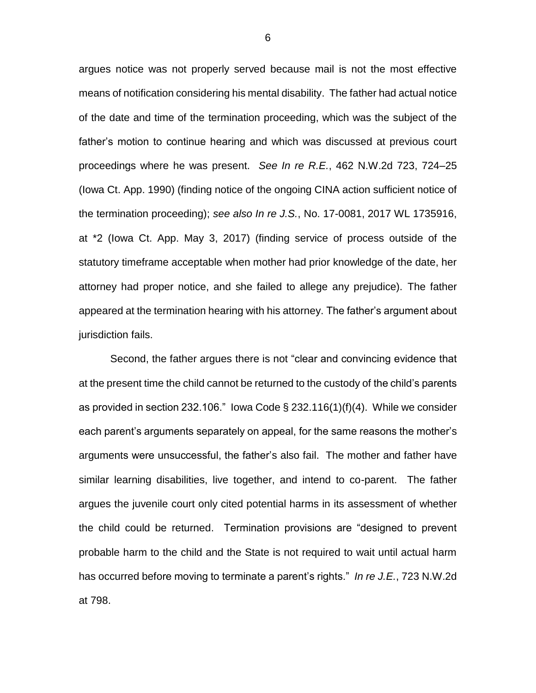argues notice was not properly served because mail is not the most effective means of notification considering his mental disability. The father had actual notice of the date and time of the termination proceeding, which was the subject of the father's motion to continue hearing and which was discussed at previous court proceedings where he was present. *See In re R.E.*, 462 N.W.2d 723, 724–25 (Iowa Ct. App. 1990) (finding notice of the ongoing CINA action sufficient notice of the termination proceeding); *see also In re J.S.*, No. 17-0081, 2017 WL 1735916, at \*2 (Iowa Ct. App. May 3, 2017) (finding service of process outside of the statutory timeframe acceptable when mother had prior knowledge of the date, her attorney had proper notice, and she failed to allege any prejudice). The father appeared at the termination hearing with his attorney. The father's argument about jurisdiction fails.

Second, the father argues there is not "clear and convincing evidence that at the present time the child cannot be returned to the custody of the child's parents as provided in section 232.106." Iowa Code  $\S$  232.116(1)(f)(4). While we consider each parent's arguments separately on appeal, for the same reasons the mother's arguments were unsuccessful, the father's also fail. The mother and father have similar learning disabilities, live together, and intend to co-parent. The father argues the juvenile court only cited potential harms in its assessment of whether the child could be returned. Termination provisions are "designed to prevent probable harm to the child and the State is not required to wait until actual harm has occurred before moving to terminate a parent's rights." *In re J.E.*, 723 N.W.2d at 798.

6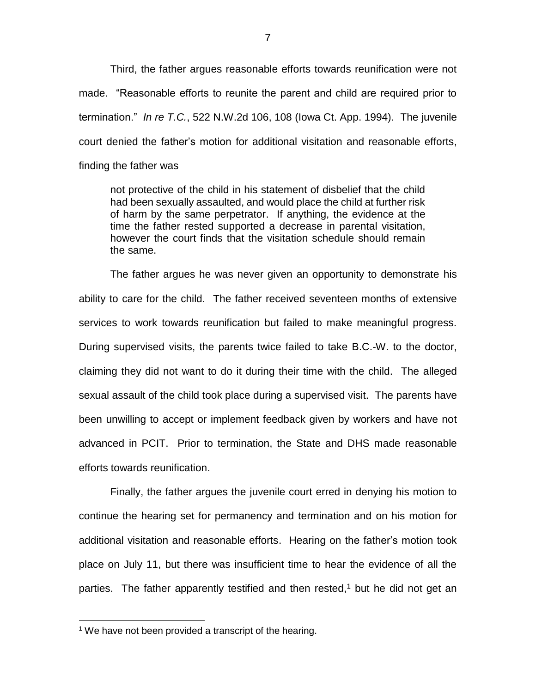Third, the father argues reasonable efforts towards reunification were not made. "Reasonable efforts to reunite the parent and child are required prior to termination." *In re T.C.*, 522 N.W.2d 106, 108 (Iowa Ct. App. 1994). The juvenile court denied the father's motion for additional visitation and reasonable efforts, finding the father was

not protective of the child in his statement of disbelief that the child had been sexually assaulted, and would place the child at further risk of harm by the same perpetrator. If anything, the evidence at the time the father rested supported a decrease in parental visitation, however the court finds that the visitation schedule should remain the same.

The father argues he was never given an opportunity to demonstrate his ability to care for the child. The father received seventeen months of extensive services to work towards reunification but failed to make meaningful progress. During supervised visits, the parents twice failed to take B.C.-W. to the doctor, claiming they did not want to do it during their time with the child. The alleged sexual assault of the child took place during a supervised visit. The parents have been unwilling to accept or implement feedback given by workers and have not advanced in PCIT. Prior to termination, the State and DHS made reasonable efforts towards reunification.

Finally, the father argues the juvenile court erred in denying his motion to continue the hearing set for permanency and termination and on his motion for additional visitation and reasonable efforts. Hearing on the father's motion took place on July 11, but there was insufficient time to hear the evidence of all the parties. The father apparently testified and then rested,<sup>1</sup> but he did not get an

 $\overline{a}$ 

 $1$  We have not been provided a transcript of the hearing.